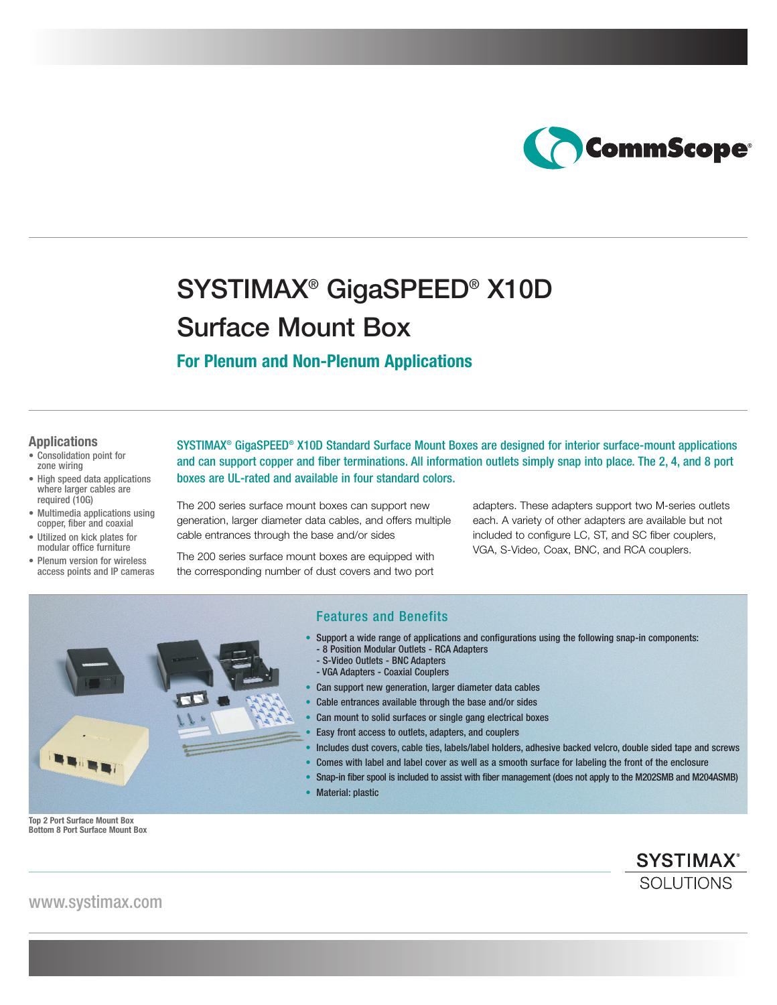

# SYSTIMAX® GigaSPEED® X10D Surface Mount Box

## **For Plenum and Non-Plenum Applications**

#### **Applications**

- Consolidation point for zone wiring
- High speed data applications where larger cables are required (10G)
- Multimedia applications using copper, fiber and coaxial
- Utilized on kick plates for modular office furniture
- Plenum version for wireless access points and IP cameras

SYSTIMAX® GigaSPEED® X10D Standard Surface Mount Boxes are designed for interior surface-mount applications and can support copper and fiber terminations. All information outlets simply snap into place. The 2, 4, and 8 port boxes are UL-rated and available in four standard colors.

The 200 series surface mount boxes can support new generation, larger diameter data cables, and offers multiple cable entrances through the base and/or sides

The 200 series surface mount boxes are equipped with the corresponding number of dust covers and two port adapters. These adapters support two M-series outlets each. A variety of other adapters are available but not included to configure LC, ST, and SC fiber couplers, VGA, S-Video, Coax, BNC, and RCA couplers.



## Features and Benefits

- Support a wide range of applications and configurations using the following snap-in components:
	- 8 Position Modular Outlets RCA Adapters
- S-Video Outlets BNC Adapters
	- VGA Adapters Coaxial Couplers
- Can support new generation, larger diameter data cables
- Cable entrances available through the base and/or sides
- Can mount to solid surfaces or single gang electrical boxes
- Easy front access to outlets, adapters, and couplers
- Includes dust covers, cable ties, labels/label holders, adhesive backed velcro, double sided tape and screws • Comes with label and label cover as well as a smooth surface for labeling the front of the enclosure
- Snap-in fiber spool is included to assist with fiber management (does not apply to the M202SMB and M204ASMB)
- Material: plastic

**Top 2 Port Surface Mount Box Bottom 8 Port Surface Mount Box**

> **SYSTIMAX®** SOLUTIONS

www.systimax.com